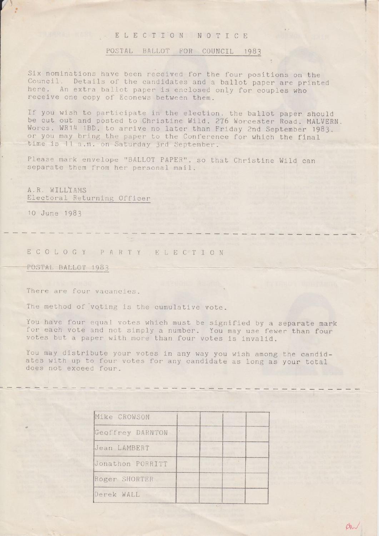## E L E C T I O N N O T I C E

#### POSTAL BALLOT FOR COUNCIL 1983

J

 $AN$ 

Six nominations have been received for the four positions on the Council. Details of the candidates and a ballot paper are printed here. An extra ballot paper is enclosed only for couples who receive one copy of Econews between them.

If you wish to participate in the election. the ballot paper should be cut out and posted to Christine Wild. 276 Worcester Road. MALVERN. Worcs. WR14 1BD. to arrive no later than Friday 2nd September 1983. or you may bring the paper to the Conference for which the final time is 11 a.m. on Saturday 3rd September.

Please mark envelope "BALLOT PAPER". so that Christine Wild can separate them from her personal mail.

A.R. WILLYAMS Electoral Returning Officer

10 June 1983

# ECOLOGY PARTY ELECTION

POSTAL BALLOT 1983

There are four vacancies.

The method of voting is the cumulative vote.

You have four equal votes which must be signified by a separate mark for each vote and not simply <sup>a</sup> number. You may use fewer than four votes but <sup>a</sup> paper with more than four votes is invalid.

——— \_ ou— —- -— — —-—- — —- -— —— cu... nan-— -—- — n— \_ -—- —— I... — —- — —— \_ nu— —— \_ 0— \_ -— — — "\_ \_—u — <sup>~</sup> — <sup>b</sup>

You may distribute your votes in any way you wish among the candidates with up to four votes for any candidate as long as your total does not exceed four.

~——"——'\*\*—-————n——n——~—\_——--—-\_——————-~--.——\_\_u———\*—u——~"

| Mike CROWSON     |        |  |  |  |
|------------------|--------|--|--|--|
| Geoffrey DARNTON | $\sim$ |  |  |  |
| Jean LAMBERT     |        |  |  |  |
| Jonathon PORRITT |        |  |  |  |
| Roger SHORTER    |        |  |  |  |
| Derek WALL       |        |  |  |  |